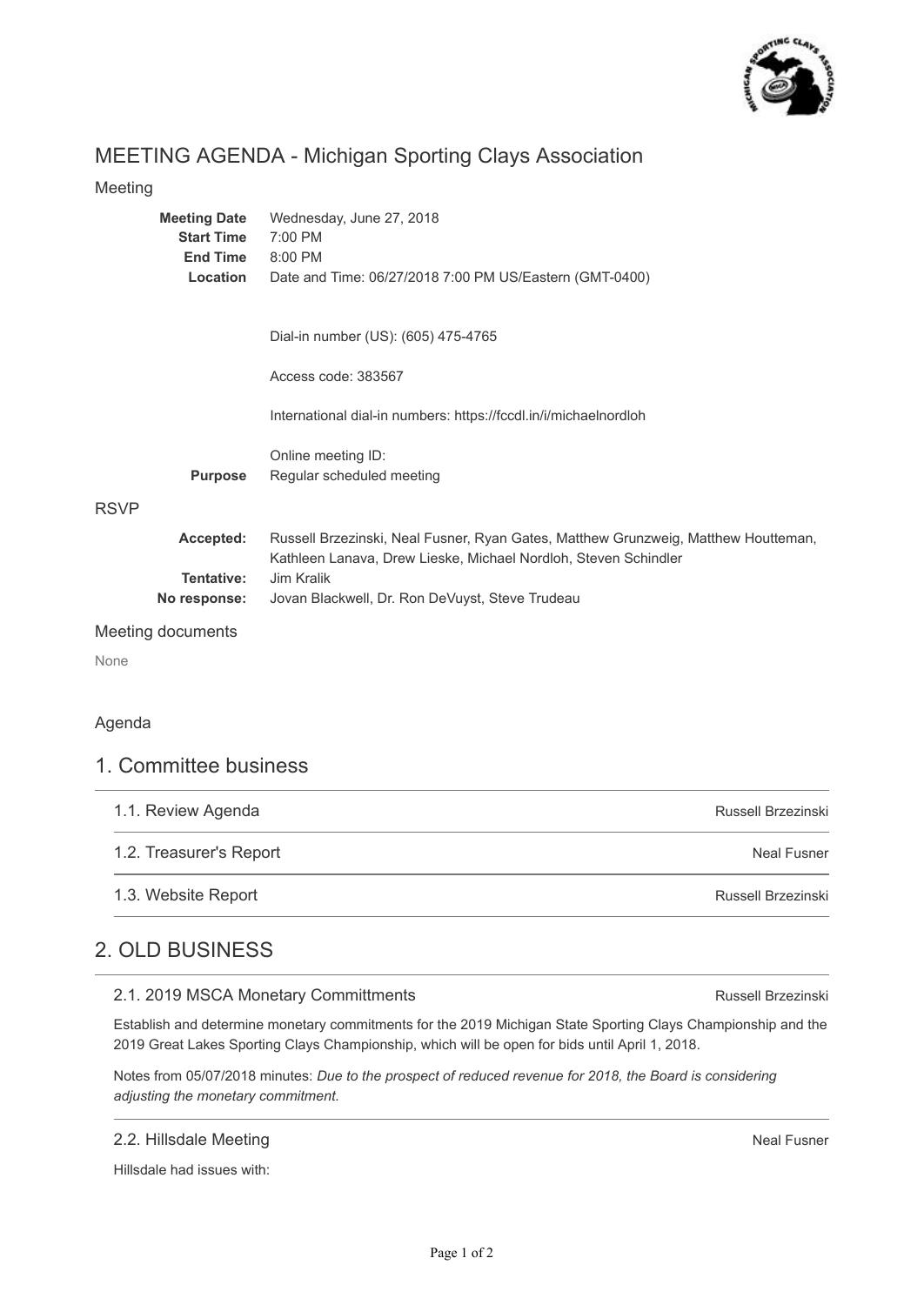

# MEETING AGENDA - Michigan Sporting Clays Association

# Meeting

| <b>Meeting Date</b> | Wednesday, June 27, 2018                                                                                                                              |
|---------------------|-------------------------------------------------------------------------------------------------------------------------------------------------------|
| <b>Start Time</b>   | 7:00 PM                                                                                                                                               |
| <b>End Time</b>     | 8:00 PM                                                                                                                                               |
| Location            | Date and Time: 06/27/2018 7:00 PM US/Eastern (GMT-0400)                                                                                               |
|                     |                                                                                                                                                       |
|                     | Dial-in number (US): (605) 475-4765                                                                                                                   |
|                     | Access code: 383567                                                                                                                                   |
|                     | International dial-in numbers: https://fccdl.in/i/michaelnordloh                                                                                      |
|                     | Online meeting ID:                                                                                                                                    |
| <b>Purpose</b>      | Regular scheduled meeting                                                                                                                             |
|                     |                                                                                                                                                       |
| Accepted:           | Russell Brzezinski, Neal Fusner, Ryan Gates, Matthew Grunzweig, Matthew Houtteman,<br>Kathleen Lanava, Drew Lieske, Michael Nordloh, Steven Schindler |
| Tentative:          | Jim Kralik                                                                                                                                            |
| No response:        | Jovan Blackwell, Dr. Ron DeVuyst, Steve Trudeau                                                                                                       |
|                     |                                                                                                                                                       |

#### Meeting documents

None

# Agenda

# 1. Committee business

| 1.1. Review Agenda      | Russell Brzezinski |
|-------------------------|--------------------|
| 1.2. Treasurer's Report | <b>Neal Fusner</b> |
| 1.3. Website Report     | Russell Brzezinski |

# 2. OLD BUSINESS

## 2.1. 2019 MSCA Monetary Committments

Establish and determine monetary commitments for the 2019 Michigan State Sporting Clays Championship and the 2019 Great Lakes Sporting Clays Championship, which will be open for bids until April 1, 2018.

Notes from 05/07/2018 minutes: *Due to the prospect of reduced revenue for 2018, the Board is considering adjusting the monetary commitment.* 

### 2.2. Hillsdale Meeting

Hillsdale had issues with:

Russell Brzezinski